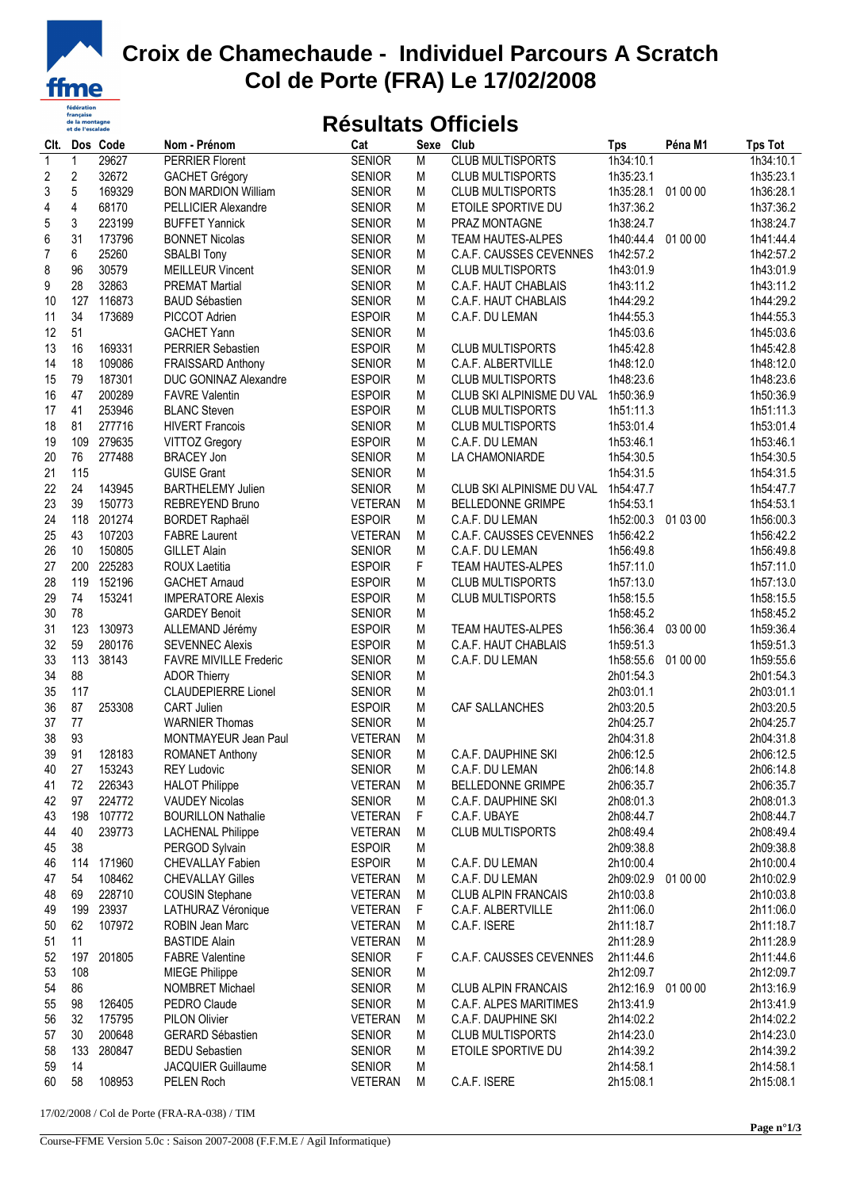

## **Croix de Chamechaude - Individuel Parcours A Scratch Col de Porte (FRA) Le 17/02/2008**

## **Résultats Officiels**

| Clt.                    |                         | Dos Code | Nom - Prénom                            | Cat                             | Sexe      | Club                       | <b>Tps</b>             | Péna M1  | <b>Tps Tot</b>         |
|-------------------------|-------------------------|----------|-----------------------------------------|---------------------------------|-----------|----------------------------|------------------------|----------|------------------------|
| $\mathbf{1}$            | 1                       | 29627    | <b>PERRIER Florent</b>                  | <b>SENIOR</b>                   | M         | <b>CLUB MULTISPORTS</b>    | 1h34:10.1              |          | 1h34:10.1              |
| $\overline{\mathbf{c}}$ | $\overline{\mathbf{c}}$ | 32672    | <b>GACHET Grégory</b>                   | <b>SENIOR</b>                   | M         | <b>CLUB MULTISPORTS</b>    | 1h35:23.1              |          | 1h35:23.1              |
| 3                       | 5                       | 169329   | <b>BON MARDION William</b>              | <b>SENIOR</b>                   | M         | <b>CLUB MULTISPORTS</b>    | 1h35:28.1 01 00 00     |          | 1h36:28.1              |
| 4                       | 4                       | 68170    | PELLICIER Alexandre                     | <b>SENIOR</b>                   | M         | ETOILE SPORTIVE DU         | 1h37:36.2              |          | 1h37:36.2              |
| 5                       | 3                       | 223199   | <b>BUFFET Yannick</b>                   | <b>SENIOR</b>                   | М         | PRAZ MONTAGNE              | 1h38:24.7              |          | 1h38:24.7              |
| 6                       | 31                      | 173796   | <b>BONNET Nicolas</b>                   | <b>SENIOR</b>                   | M         | TEAM HAUTES-ALPES          | 1h40:44.4              | 01 00 00 | 1h41:44.4              |
| $\overline{7}$          | 6                       | 25260    | <b>SBALBI Tony</b>                      | <b>SENIOR</b>                   | M         | C.A.F. CAUSSES CEVENNES    | 1h42:57.2              |          | 1h42:57.2              |
| 8                       | 96                      | 30579    | <b>MEILLEUR Vincent</b>                 | <b>SENIOR</b>                   | M         | <b>CLUB MULTISPORTS</b>    | 1h43:01.9              |          | 1h43:01.9              |
| 9                       | 28                      | 32863    | <b>PREMAT Martial</b>                   | <b>SENIOR</b>                   | M         | C.A.F. HAUT CHABLAIS       | 1h43:11.2              |          | 1h43:11.2              |
| 10                      | 127                     | 116873   | <b>BAUD Sébastien</b>                   | <b>SENIOR</b>                   | M         | C.A.F. HAUT CHABLAIS       | 1h44:29.2              |          | 1h44:29.2              |
| 11                      | 34                      | 173689   | PICCOT Adrien                           | <b>ESPOIR</b>                   | M         | C.A.F. DU LEMAN            | 1h44:55.3              |          | 1h44:55.3              |
| 12                      | 51                      |          | <b>GACHET Yann</b>                      | <b>SENIOR</b>                   | M         |                            | 1h45:03.6              |          | 1h45:03.6              |
| 13                      | 16                      | 169331   | PERRIER Sebastien                       | <b>ESPOIR</b>                   | M         | <b>CLUB MULTISPORTS</b>    | 1h45:42.8              |          | 1h45:42.8              |
| 14                      | 18                      | 109086   | FRAISSARD Anthony                       | <b>SENIOR</b>                   | M         | C.A.F. ALBERTVILLE         | 1h48:12.0              |          | 1h48:12.0              |
| 15                      | 79                      | 187301   | DUC GONINAZ Alexandre                   | <b>ESPOIR</b>                   | M         | <b>CLUB MULTISPORTS</b>    | 1h48:23.6              |          | 1h48:23.6              |
| 16                      | 47                      | 200289   | <b>FAVRE Valentin</b>                   | <b>ESPOIR</b>                   | M         | CLUB SKI ALPINISME DU VAL  | 1h50:36.9              |          | 1h50:36.9              |
| 17                      | 41                      | 253946   | <b>BLANC Steven</b>                     | <b>ESPOIR</b>                   | M         | <b>CLUB MULTISPORTS</b>    | 1h51:11.3              |          | 1h51:11.3              |
| 18                      | 81                      | 277716   | <b>HIVERT Francois</b>                  | <b>SENIOR</b>                   | М         | <b>CLUB MULTISPORTS</b>    | 1h53:01.4              |          | 1h53:01.4              |
| 19                      | 109                     | 279635   | VITTOZ Gregory                          | <b>ESPOIR</b>                   | M         | C.A.F. DU LEMAN            | 1h53:46.1              |          | 1h53:46.1              |
| 20                      | 76                      | 277488   | <b>BRACEY Jon</b>                       | <b>SENIOR</b>                   | M         | LA CHAMONIARDE             | 1h54:30.5              |          | 1h54:30.5              |
| 21                      | 115                     |          | <b>GUISE Grant</b>                      | <b>SENIOR</b>                   | M         |                            | 1h54:31.5              |          | 1h54:31.5              |
| 22                      | 24                      | 143945   | <b>BARTHELEMY Julien</b>                | <b>SENIOR</b>                   | M         | CLUB SKI ALPINISME DU VAL  | 1h54:47.7              |          | 1h54:47.7              |
| 23                      | 39                      | 150773   | REBREYEND Bruno                         | <b>VETERAN</b>                  | M         | <b>BELLEDONNE GRIMPE</b>   | 1h54:53.1              |          | 1h54:53.1              |
| 24                      | 118                     | 201274   | <b>BORDET Raphaël</b>                   | <b>ESPOIR</b>                   | М         | C.A.F. DU LEMAN            | 1h52:00.3              | 01 03 00 | 1h56:00.3              |
| 25                      | 43                      | 107203   | <b>FABRE Laurent</b>                    | <b>VETERAN</b>                  | M         | C.A.F. CAUSSES CEVENNES    | 1h56:42.2              |          | 1h56:42.2              |
| 26                      | 10                      | 150805   | <b>GILLET Alain</b>                     | <b>SENIOR</b>                   | M         | C.A.F. DU LEMAN            | 1h56:49.8              |          | 1h56:49.8              |
| 27                      | 200                     | 225283   | ROUX Laetitia                           | <b>ESPOIR</b>                   | F         | <b>TEAM HAUTES-ALPES</b>   | 1h57:11.0              |          | 1h57:11.0              |
| 28                      | 119                     | 152196   | <b>GACHET Arnaud</b>                    | <b>ESPOIR</b>                   | M         | <b>CLUB MULTISPORTS</b>    | 1h57:13.0              |          | 1h57:13.0              |
| 29                      | 74                      | 153241   | <b>IMPERATORE Alexis</b>                | <b>ESPOIR</b>                   | M         | <b>CLUB MULTISPORTS</b>    | 1h58:15.5              |          | 1h58:15.5              |
| 30                      | 78                      |          | <b>GARDEY Benoit</b>                    | <b>SENIOR</b>                   | M         |                            | 1h58:45.2              |          | 1h58:45.2              |
| 31                      | 123                     | 130973   | ALLEMAND Jérémy                         | <b>ESPOIR</b>                   | M         | TEAM HAUTES-ALPES          | 1h56:36.4              | 03 00 00 | 1h59:36.4              |
| 32                      | 59                      | 280176   | <b>SEVENNEC Alexis</b>                  | <b>ESPOIR</b>                   | M         | C.A.F. HAUT CHABLAIS       | 1h59:51.3              |          | 1h59:51.3              |
| 33                      | 113                     | 38143    | <b>FAVRE MIVILLE Frederic</b>           | <b>SENIOR</b>                   | M         | C.A.F. DU LEMAN            | 1h58:55.6              | 01 00 00 | 1h59:55.6              |
| 34                      | 88                      |          | <b>ADOR Thierry</b>                     | <b>SENIOR</b>                   | M         |                            | 2h01:54.3              |          | 2h01:54.3              |
| 35                      | 117                     |          | <b>CLAUDEPIERRE Lionel</b>              | <b>SENIOR</b>                   | ${\sf M}$ |                            | 2h03:01.1              |          | 2h03:01.1              |
| 36                      | 87                      | 253308   | <b>CART Julien</b>                      | <b>ESPOIR</b>                   | M         | CAF SALLANCHES             | 2h03:20.5              |          | 2h03:20.5              |
| 37                      | 77                      |          | <b>WARNIER Thomas</b>                   | <b>SENIOR</b>                   | M         |                            | 2h04:25.7              |          | 2h04:25.7              |
|                         | 93                      |          |                                         |                                 | M         |                            |                        |          |                        |
| 38<br>39                | 91                      | 128183   | MONTMAYEUR Jean Paul<br>ROMANET Anthony | <b>VETERAN</b><br><b>SENIOR</b> | M         | C.A.F. DAUPHINE SKI        | 2h04:31.8<br>2h06:12.5 |          | 2h04:31.8<br>2h06:12.5 |
| 40                      | 27                      | 153243   |                                         | <b>SENIOR</b>                   | M         |                            | 2h06:14.8              |          | 2h06:14.8              |
|                         | 72                      |          | <b>REY Ludovic</b>                      |                                 |           | C.A.F. DU LEMAN            |                        |          |                        |
| 41                      |                         | 226343   | <b>HALOT Philippe</b>                   | <b>VETERAN</b>                  | M         | <b>BELLEDONNE GRIMPE</b>   | 2h06:35.7              |          | 2h06:35.7              |
| 42                      | 97                      | 224772   | <b>VAUDEY Nicolas</b>                   | <b>SENIOR</b>                   | M         | C.A.F. DAUPHINE SKI        | 2h08:01.3              |          | 2h08:01.3              |
| 43                      | 198                     | 107772   | <b>BOURILLON Nathalie</b>               | <b>VETERAN</b>                  | F         | C.A.F. UBAYE               | 2h08:44.7              |          | 2h08:44.7              |
| 44                      | 40                      | 239773   | <b>LACHENAL Philippe</b>                | <b>VETERAN</b>                  | M         | <b>CLUB MULTISPORTS</b>    | 2h08:49.4              |          | 2h08:49.4              |
| 45                      | 38                      |          | PERGOD Sylvain                          | <b>ESPOIR</b>                   | M         |                            | 2h09:38.8              |          | 2h09:38.8              |
| 46                      | 114                     | 171960   | CHEVALLAY Fabien                        | <b>ESPOIR</b>                   | M         | C.A.F. DU LEMAN            | 2h10:00.4              |          | 2h10:00.4              |
| 47                      | 54                      | 108462   | <b>CHEVALLAY Gilles</b>                 | <b>VETERAN</b>                  | M         | C.A.F. DU LEMAN            | 2h09:02.9              | 01 00 00 | 2h10:02.9              |
| 48                      | 69                      | 228710   | <b>COUSIN Stephane</b>                  | <b>VETERAN</b>                  | M         | <b>CLUB ALPIN FRANCAIS</b> | 2h10:03.8              |          | 2h10:03.8              |
| 49                      | 199                     | 23937    | LATHURAZ Véronique                      | <b>VETERAN</b>                  | F         | C.A.F. ALBERTVILLE         | 2h11:06.0              |          | 2h11:06.0              |
| 50                      | 62                      | 107972   | ROBIN Jean Marc                         | <b>VETERAN</b>                  | M         | C.A.F. ISERE               | 2h11:18.7              |          | 2h11:18.7              |
| 51                      | 11                      |          | <b>BASTIDE Alain</b>                    | <b>VETERAN</b>                  | M         |                            | 2h11:28.9              |          | 2h11:28.9              |
| 52                      | 197                     | 201805   | <b>FABRE Valentine</b>                  | <b>SENIOR</b>                   | F         | C.A.F. CAUSSES CEVENNES    | 2h11:44.6              |          | 2h11:44.6              |
| 53                      | 108                     |          | <b>MIEGE Philippe</b>                   | <b>SENIOR</b>                   | M         |                            | 2h12:09.7              |          | 2h12:09.7              |
| 54                      | 86                      |          | NOMBRET Michael                         | <b>SENIOR</b>                   | M         | <b>CLUB ALPIN FRANCAIS</b> | 2h12:16.9              | 01 00 00 | 2h13:16.9              |
| 55                      | 98                      | 126405   | PEDRO Claude                            | <b>SENIOR</b>                   | M         | C.A.F. ALPES MARITIMES     | 2h13:41.9              |          | 2h13:41.9              |
| 56                      | 32                      | 175795   | <b>PILON Olivier</b>                    | <b>VETERAN</b>                  | M         | C.A.F. DAUPHINE SKI        | 2h14:02.2              |          | 2h14:02.2              |
| 57                      | 30                      | 200648   | <b>GERARD Sébastien</b>                 | <b>SENIOR</b>                   | M         | <b>CLUB MULTISPORTS</b>    | 2h14:23.0              |          | 2h14:23.0              |
| 58                      | 133                     | 280847   | <b>BEDU Sebastien</b>                   | <b>SENIOR</b>                   | M         | ETOILE SPORTIVE DU         | 2h14:39.2              |          | 2h14:39.2              |
| 59                      | 14                      |          | <b>JACQUIER Guillaume</b>               | <b>SENIOR</b>                   | M         |                            | 2h14:58.1              |          | 2h14:58.1              |
| 60                      | 58                      | 108953   | PELEN Roch                              | <b>VETERAN</b>                  | M         | C.A.F. ISERE               | 2h15:08.1              |          | 2h15:08.1              |

17/02/2008 / Col de Porte (FRA-RA-038) / TIM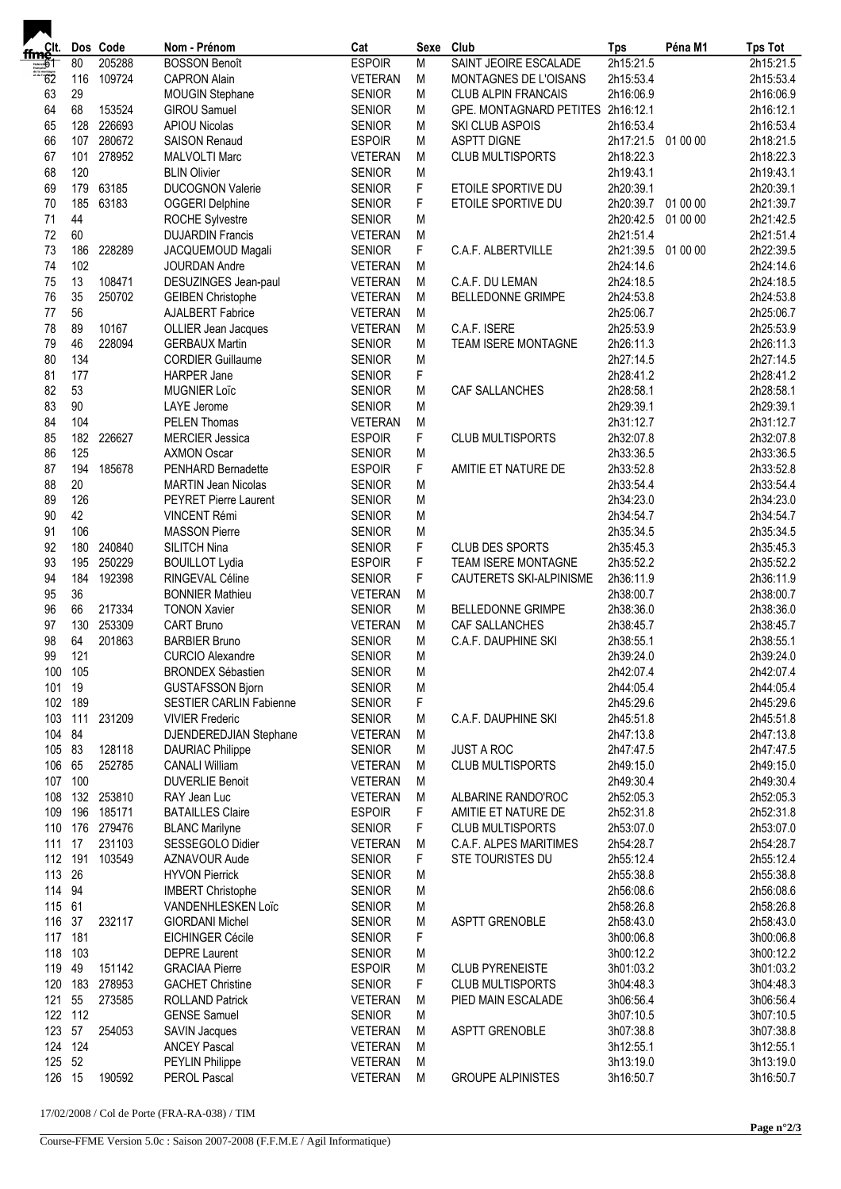| ffmelt.<br>Ffmelt |            | Dos Code | Nom - Prénom                                        | Cat                              | Sexe   | Club                                        | <b>Tps</b>                      | Péna M1  | <b>Tps Tot</b>         |
|-------------------|------------|----------|-----------------------------------------------------|----------------------------------|--------|---------------------------------------------|---------------------------------|----------|------------------------|
| $\overline{61}$   | 80         | 205288   | <b>BOSSON Benoît</b>                                | <b>ESPOIR</b>                    | M      | SAINT JEOIRE ESCALADE                       | 2h15:21.5                       |          | 2h15:21.5              |
| $-62$             | 116        | 109724   | <b>CAPRON Alain</b>                                 | <b>VETERAN</b>                   | M      | MONTAGNES DE L'OISANS                       | 2h15:53.4                       |          | 2h15:53.4              |
| 63                | 29         |          | <b>MOUGIN Stephane</b>                              | <b>SENIOR</b>                    | M      | <b>CLUB ALPIN FRANCAIS</b>                  | 2h16:06.9                       |          | 2h16:06.9              |
| 64                | 68         | 153524   | <b>GIROU Samuel</b>                                 | <b>SENIOR</b>                    | M      | GPE. MONTAGNARD PETITES 2h16:12.1           |                                 |          | 2h16:12.1              |
| 65                | 128        | 226693   | <b>APIOU Nicolas</b>                                | <b>SENIOR</b>                    | M      | SKI CLUB ASPOIS                             | 2h16:53.4                       |          | 2h16:53.4              |
| 66                | 107        | 280672   | <b>SAISON Renaud</b>                                | <b>ESPOIR</b>                    | M      | <b>ASPTT DIGNE</b>                          | 2h17:21.5 01 00 00              |          | 2h18:21.5              |
| 67                | 101        | 278952   | <b>MALVOLTI Marc</b>                                | <b>VETERAN</b>                   | M      | <b>CLUB MULTISPORTS</b>                     | 2h18:22.3                       |          | 2h18:22.3              |
| 68                | 120        |          | <b>BLIN Olivier</b>                                 | <b>SENIOR</b>                    | M      |                                             | 2h19:43.1                       |          | 2h19:43.1              |
| 69                | 179        | 63185    | <b>DUCOGNON Valerie</b>                             | <b>SENIOR</b>                    | F      | ETOILE SPORTIVE DU                          | 2h20:39.1                       |          | 2h20:39.1              |
| 70                | 185        | 63183    | <b>OGGERI Delphine</b>                              | <b>SENIOR</b>                    | F      | ETOILE SPORTIVE DU                          | 2h20:39.7 01 00 00              |          | 2h21:39.7              |
| 71                | 44         |          | <b>ROCHE Sylvestre</b>                              | <b>SENIOR</b>                    | M      |                                             | 2h20:42.5                       | 01 00 00 | 2h21:42.5              |
| 72                | 60         |          | <b>DUJARDIN Francis</b>                             | <b>VETERAN</b>                   | M      |                                             | 2h21:51.4                       |          | 2h21:51.4              |
| 73<br>74          | 186<br>102 | 228289   | JACQUEMOUD Magali                                   | <b>SENIOR</b>                    | F      | C.A.F. ALBERTVILLE                          | 2h21:39.5 01 00 00<br>2h24:14.6 |          | 2h22:39.5              |
| 75                | 13         | 108471   | JOURDAN Andre                                       | <b>VETERAN</b>                   | M<br>M |                                             |                                 |          | 2h24:14.6              |
| 76                | 35         | 250702   | DESUZINGES Jean-paul                                | <b>VETERAN</b><br><b>VETERAN</b> | M      | C.A.F. DU LEMAN<br><b>BELLEDONNE GRIMPE</b> | 2h24:18.5<br>2h24:53.8          |          | 2h24:18.5<br>2h24:53.8 |
| 77                | 56         |          | <b>GEIBEN Christophe</b><br><b>AJALBERT Fabrice</b> | <b>VETERAN</b>                   | M      |                                             | 2h25:06.7                       |          | 2h25:06.7              |
| 78                | 89         | 10167    | OLLIER Jean Jacques                                 | <b>VETERAN</b>                   | М      | C.A.F. ISERE                                | 2h25:53.9                       |          | 2h25:53.9              |
| 79                | 46         | 228094   | <b>GERBAUX Martin</b>                               | <b>SENIOR</b>                    | M      | TEAM ISERE MONTAGNE                         | 2h26:11.3                       |          | 2h26:11.3              |
| 80                | 134        |          | <b>CORDIER Guillaume</b>                            | <b>SENIOR</b>                    | M      |                                             | 2h27:14.5                       |          | 2h27:14.5              |
| 81                | 177        |          | <b>HARPER Jane</b>                                  | <b>SENIOR</b>                    | F      |                                             | 2h28:41.2                       |          | 2h28:41.2              |
| 82                | 53         |          | <b>MUGNIER Loïc</b>                                 | <b>SENIOR</b>                    | M      | CAF SALLANCHES                              | 2h28:58.1                       |          | 2h28:58.1              |
| 83                | $90\,$     |          | LAYE Jerome                                         | <b>SENIOR</b>                    | M      |                                             | 2h29:39.1                       |          | 2h29:39.1              |
| 84                | 104        |          | <b>PELEN Thomas</b>                                 | <b>VETERAN</b>                   | M      |                                             | 2h31:12.7                       |          | 2h31:12.7              |
| 85                | 182        | 226627   | <b>MERCIER Jessica</b>                              | <b>ESPOIR</b>                    | F      | CLUB MULTISPORTS                            | 2h32:07.8                       |          | 2h32:07.8              |
| 86                | 125        |          | <b>AXMON Oscar</b>                                  | <b>SENIOR</b>                    | M      |                                             | 2h33:36.5                       |          | 2h33:36.5              |
| 87                | 194        | 185678   | PENHARD Bernadette                                  | <b>ESPOIR</b>                    | F      | AMITIE ET NATURE DE                         | 2h33:52.8                       |          | 2h33:52.8              |
| 88                | 20         |          | <b>MARTIN Jean Nicolas</b>                          | <b>SENIOR</b>                    | M      |                                             | 2h33:54.4                       |          | 2h33:54.4              |
| 89                | 126        |          | PEYRET Pierre Laurent                               | <b>SENIOR</b>                    | M      |                                             | 2h34:23.0                       |          | 2h34:23.0              |
| 90                | 42         |          | <b>VINCENT Rémi</b>                                 | <b>SENIOR</b>                    | M      |                                             | 2h34:54.7                       |          | 2h34:54.7              |
| 91                | 106        |          | <b>MASSON Pierre</b>                                | <b>SENIOR</b>                    | M      |                                             | 2h35:34.5                       |          | 2h35:34.5              |
| 92                | 180        | 240840   | SILITCH Nina                                        | <b>SENIOR</b>                    | F      | <b>CLUB DES SPORTS</b>                      | 2h35:45.3                       |          | 2h35:45.3              |
| 93                | 195        | 250229   | <b>BOUILLOT Lydia</b>                               | <b>ESPOIR</b>                    | F      | TEAM ISERE MONTAGNE                         | 2h35:52.2                       |          | 2h35:52.2              |
| 94                | 184        | 192398   | RINGEVAL Céline                                     | <b>SENIOR</b>                    | F      | CAUTERETS SKI-ALPINISME                     | 2h36:11.9                       |          | 2h36:11.9              |
| 95                | 36         |          | <b>BONNIER Mathieu</b>                              | <b>VETERAN</b>                   | M      |                                             | 2h38:00.7                       |          | 2h38:00.7              |
| 96                | 66         | 217334   | <b>TONON Xavier</b>                                 | <b>SENIOR</b>                    | M      | <b>BELLEDONNE GRIMPE</b>                    | 2h38:36.0                       |          | 2h38:36.0              |
| 97                | 130        | 253309   | <b>CART Bruno</b>                                   | <b>VETERAN</b>                   | М      | <b>CAF SALLANCHES</b>                       | 2h38:45.7                       |          | 2h38:45.7              |
| 98                | 64         | 201863   | <b>BARBIER Bruno</b>                                | <b>SENIOR</b>                    | M      | C.A.F. DAUPHINE SKI                         | 2h38:55.1                       |          | 2h38:55.1              |
| 99                | 121        |          | <b>CURCIO Alexandre</b>                             | <b>SENIOR</b>                    | M      |                                             | 2h39:24.0                       |          | 2h39:24.0              |
| 100 105           |            |          | <b>BRONDEX Sébastien</b>                            | <b>SENIOR</b>                    | M      |                                             | 2h42:07.4                       |          | 2h42:07.4              |
| 101 19            |            |          | <b>GUSTAFSSON Bjorn</b>                             | <b>SENIOR</b>                    | M      |                                             | 2h44:05.4                       |          | 2h44:05.4              |
| 102 189           |            |          | <b>SESTIER CARLIN Fabienne</b>                      | <b>SENIOR</b>                    | F      |                                             | 2h45:29.6                       |          | 2h45:29.6              |
| 103               | 111        | 231209   | <b>VIVIER Frederic</b>                              | <b>SENIOR</b>                    | M      | C.A.F. DAUPHINE SKI                         | 2h45:51.8                       |          | 2h45:51.8              |
| 104 84            |            |          | DJENDEREDJIAN Stephane                              | <b>VETERAN</b>                   | M      |                                             | 2h47:13.8                       |          | 2h47:13.8              |
| 105 83            |            | 128118   | <b>DAURIAC Philippe</b>                             | <b>SENIOR</b>                    | M      | <b>JUST A ROC</b>                           | 2h47:47.5                       |          | 2h47:47.5              |
| 106               | 65         | 252785   | <b>CANALI William</b>                               | <b>VETERAN</b>                   | M      | <b>CLUB MULTISPORTS</b>                     | 2h49:15.0                       |          | 2h49:15.0              |
| 107               | 100        |          | <b>DUVERLIE Benoit</b>                              | <b>VETERAN</b>                   | M      |                                             | 2h49:30.4                       |          | 2h49:30.4              |
| 108               | 132        | 253810   | RAY Jean Luc                                        | <b>VETERAN</b>                   | M      | ALBARINE RANDO'ROC                          | 2h52:05.3                       |          | 2h52:05.3              |
| 109               | 196        | 185171   | <b>BATAILLES Claire</b>                             | <b>ESPOIR</b>                    | F      | AMITIE ET NATURE DE                         | 2h52:31.8                       |          | 2h52:31.8              |
| 110               | 176        | 279476   | <b>BLANC Marilyne</b>                               | <b>SENIOR</b>                    | F      | CLUB MULTISPORTS                            | 2h53:07.0                       |          | 2h53:07.0              |
| 111               | 17         | 231103   | SESSEGOLO Didier                                    | <b>VETERAN</b>                   | M      | C.A.F. ALPES MARITIMES                      | 2h54:28.7                       |          | 2h54:28.7              |
| 112 191<br>113 26 |            | 103549   | AZNAVOUR Aude                                       | <b>SENIOR</b>                    | F      | STE TOURISTES DU                            | 2h55:12.4                       |          | 2h55:12.4              |
| 114 94            |            |          | <b>HYVON Pierrick</b>                               | <b>SENIOR</b>                    | M      |                                             | 2h55:38.8                       |          | 2h55:38.8              |
|                   |            |          | <b>IMBERT Christophe</b>                            | <b>SENIOR</b>                    | M      |                                             | 2h56:08.6                       |          | 2h56:08.6              |
| 115 61<br>116 37  |            | 232117   | VANDENHLESKEN Loïc<br><b>GIORDANI Michel</b>        | <b>SENIOR</b>                    | M<br>M | <b>ASPTT GRENOBLE</b>                       | 2h58:26.8<br>2h58:43.0          |          | 2h58:26.8              |
| 117 181           |            |          | <b>EICHINGER Cécile</b>                             | <b>SENIOR</b><br><b>SENIOR</b>   | F      |                                             | 3h00:06.8                       |          | 2h58:43.0<br>3h00:06.8 |
| 118               | 103        |          | <b>DEPRE Laurent</b>                                | <b>SENIOR</b>                    | M      |                                             | 3h00:12.2                       |          | 3h00:12.2              |
| 119               | 49         | 151142   | <b>GRACIAA Pierre</b>                               | <b>ESPOIR</b>                    | M      | <b>CLUB PYRENEISTE</b>                      | 3h01:03.2                       |          | 3h01:03.2              |
| 120               | 183        | 278953   | <b>GACHET Christine</b>                             | <b>SENIOR</b>                    | F      | <b>CLUB MULTISPORTS</b>                     | 3h04:48.3                       |          | 3h04:48.3              |
| 121               | 55         | 273585   | <b>ROLLAND Patrick</b>                              | <b>VETERAN</b>                   | M      | PIED MAIN ESCALADE                          | 3h06:56.4                       |          | 3h06:56.4              |
| 122 112           |            |          | <b>GENSE Samuel</b>                                 | <b>SENIOR</b>                    | M      |                                             | 3h07:10.5                       |          | 3h07:10.5              |
| 123               | 57         | 254053   | SAVIN Jacques                                       | <b>VETERAN</b>                   | M      | ASPTT GRENOBLE                              | 3h07:38.8                       |          | 3h07:38.8              |
| 124 124           |            |          | <b>ANCEY Pascal</b>                                 | <b>VETERAN</b>                   | M      |                                             | 3h12:55.1                       |          | 3h12:55.1              |
| 125               | 52         |          | PEYLIN Philippe                                     | <b>VETERAN</b>                   | M      |                                             | 3h13:19.0                       |          | 3h13:19.0              |
| 126 15            |            | 190592   | PEROL Pascal                                        | VETERAN                          | M      | <b>GROUPE ALPINISTES</b>                    | 3h16:50.7                       |          | 3h16:50.7              |
|                   |            |          |                                                     |                                  |        |                                             |                                 |          |                        |

17/02/2008 / Col de Porte (FRA-RA-038) / TIM